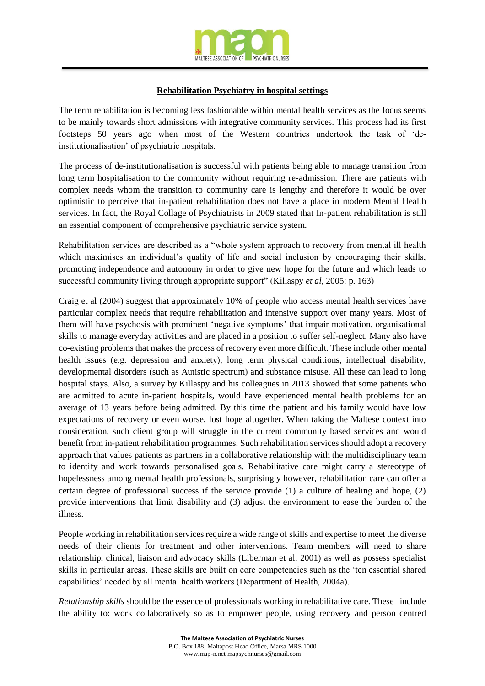

## **Rehabilitation Psychiatry in hospital settings**

The term rehabilitation is becoming less fashionable within mental health services as the focus seems to be mainly towards short admissions with integrative community services. This process had its first footsteps 50 years ago when most of the Western countries undertook the task of 'deinstitutionalisation' of psychiatric hospitals.

The process of de-institutionalisation is successful with patients being able to manage transition from long term hospitalisation to the community without requiring re-admission. There are patients with complex needs whom the transition to community care is lengthy and therefore it would be over optimistic to perceive that in-patient rehabilitation does not have a place in modern Mental Health services. In fact, the Royal Collage of Psychiatrists in 2009 stated that In-patient rehabilitation is still an essential component of comprehensive psychiatric service system.

Rehabilitation services are described as a "whole system approach to recovery from mental ill health which maximises an individual's quality of life and social inclusion by encouraging their skills, promoting independence and autonomy in order to give new hope for the future and which leads to successful community living through appropriate support" (Killaspy *et al*, 2005: p. 163)

Craig et al (2004) suggest that approximately 10% of people who access mental health services have particular complex needs that require rehabilitation and intensive support over many years. Most of them will have psychosis with prominent 'negative symptoms' that impair motivation, organisational skills to manage everyday activities and are placed in a position to suffer self-neglect. Many also have co-existing problems that makes the process of recovery even more difficult. These include other mental health issues (e.g. depression and anxiety), long term physical conditions, intellectual disability, developmental disorders (such as Autistic spectrum) and substance misuse. All these can lead to long hospital stays. Also, a survey by Killaspy and his colleagues in 2013 showed that some patients who are admitted to acute in-patient hospitals, would have experienced mental health problems for an average of 13 years before being admitted. By this time the patient and his family would have low expectations of recovery or even worse, lost hope altogether. When taking the Maltese context into consideration, such client group will struggle in the current community based services and would benefit from in-patient rehabilitation programmes. Such rehabilitation services should adopt a recovery approach that values patients as partners in a collaborative relationship with the multidisciplinary team to identify and work towards personalised goals. Rehabilitative care might carry a stereotype of hopelessness among mental health professionals, surprisingly however, rehabilitation care can offer a certain degree of professional success if the service provide (1) a culture of healing and hope, (2) provide interventions that limit disability and (3) adjust the environment to ease the burden of the illness.

People working in rehabilitation services require a wide range of skills and expertise to meet the diverse needs of their clients for treatment and other interventions. Team members will need to share relationship, clinical, liaison and advocacy skills (Liberman et al, 2001) as well as possess specialist skills in particular areas. These skills are built on core competencies such as the 'ten essential shared capabilities' needed by all mental health workers (Department of Health, 2004a).

*Relationship skills* should be the essence of professionals working in rehabilitative care. These include the ability to: work collaboratively so as to empower people, using recovery and person centred